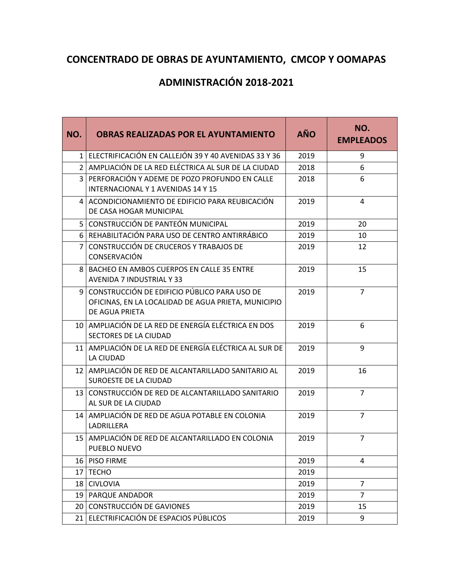## **CONCENTRADO DE OBRAS DE AYUNTAMIENTO, CMCOP Y OOMAPAS**

## **ADMINISTRACIÓN 2018-2021**

| NO. | <b>OBRAS REALIZADAS POR EL AYUNTAMIENTO</b>                                                                           |      | NO.<br><b>EMPLEADOS</b> |
|-----|-----------------------------------------------------------------------------------------------------------------------|------|-------------------------|
|     | 1 ELECTRIFICACIÓN EN CALLEJÓN 39 Y 40 AVENIDAS 33 Y 36                                                                | 2019 | 9                       |
|     | 2 AMPLIACIÓN DE LA RED ELÉCTRICA AL SUR DE LA CIUDAD                                                                  | 2018 | 6                       |
|     | 3 PERFORACIÓN Y ADEME DE POZO PROFUNDO EN CALLE<br>INTERNACIONAL Y 1 AVENIDAS 14 Y 15                                 | 2018 | 6                       |
|     | 4 ACONDICIONAMIENTO DE EDIFICIO PARA REUBICACIÓN<br>DE CASA HOGAR MUNICIPAL                                           | 2019 | 4                       |
|     | 5 CONSTRUCCIÓN DE PANTEÓN MUNICIPAL                                                                                   | 2019 | 20                      |
|     | 6   REHABILITACIÓN PARA USO DE CENTRO ANTIRRÁBICO                                                                     | 2019 | 10                      |
| 7   | CONSTRUCCIÓN DE CRUCEROS Y TRABAJOS DE<br>CONSERVACIÓN                                                                | 2019 | 12                      |
| 8   | BACHEO EN AMBOS CUERPOS EN CALLE 35 ENTRE<br><b>AVENIDA 7 INDUSTRIAL Y 33</b>                                         | 2019 | 15                      |
| 9   | CONSTRUCCIÓN DE EDIFICIO PÚBLICO PARA USO DE<br>OFICINAS, EN LA LOCALIDAD DE AGUA PRIETA, MUNICIPIO<br>DE AGUA PRIETA | 2019 | $\overline{7}$          |
|     | 10 AMPLIACIÓN DE LA RED DE ENERGÍA ELÉCTRICA EN DOS<br>SECTORES DE LA CIUDAD                                          | 2019 | 6                       |
| 11  | AMPLIACIÓN DE LA RED DE ENERGÍA ELÉCTRICA AL SUR DE<br>LA CIUDAD                                                      | 2019 | 9                       |
| 12  | AMPLIACIÓN DE RED DE ALCANTARILLADO SANITARIO AL<br>SUROESTE DE LA CIUDAD                                             | 2019 | 16                      |
|     | 13 CONSTRUCCIÓN DE RED DE ALCANTARILLADO SANITARIO<br>AL SUR DE LA CIUDAD                                             | 2019 | $\overline{7}$          |
| 14  | AMPLIACIÓN DE RED DE AGUA POTABLE EN COLONIA<br>LADRILLERA                                                            | 2019 | $\overline{7}$          |
|     | 15   AMPLIACIÓN DE RED DE ALCANTARILLADO EN COLONIA<br>PUEBLO NUEVO                                                   | 2019 | $\overline{7}$          |
|     | 16 PISO FIRME                                                                                                         | 2019 | 4                       |
|     | 17 TECHO                                                                                                              | 2019 |                         |
|     | 18 CIVLOVIA                                                                                                           | 2019 | 7                       |
|     | 19   PARQUE ANDADOR                                                                                                   | 2019 | $\overline{7}$          |
|     | 20 CONSTRUCCIÓN DE GAVIONES                                                                                           | 2019 | 15                      |
|     | 21 ELECTRIFICACIÓN DE ESPACIOS PÚBLICOS                                                                               | 2019 | 9                       |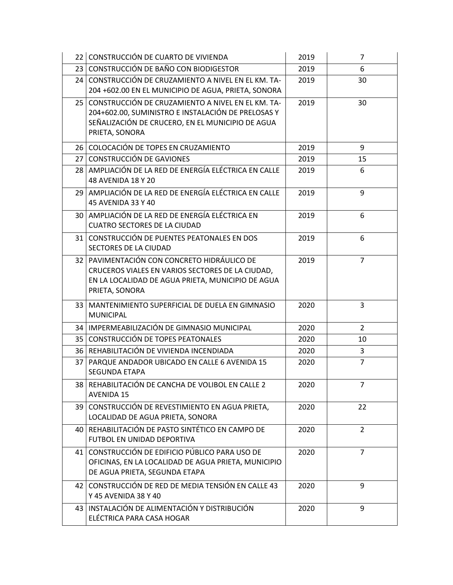|                 | 22 CONSTRUCCIÓN DE CUARTO DE VIVIENDA                                                                                                                                            | 2019 | 7              |
|-----------------|----------------------------------------------------------------------------------------------------------------------------------------------------------------------------------|------|----------------|
|                 | 23 CONSTRUCCIÓN DE BAÑO CON BIODIGESTOR                                                                                                                                          |      | 6              |
|                 | 24 CONSTRUCCIÓN DE CRUZAMIENTO A NIVEL EN EL KM. TA-<br>204 +602.00 EN EL MUNICIPIO DE AGUA, PRIETA, SONORA                                                                      | 2019 | 30             |
|                 | 25 CONSTRUCCIÓN DE CRUZAMIENTO A NIVEL EN EL KM. TA-<br>204+602.00, SUMINISTRO E INSTALACIÓN DE PRELOSAS Y<br>SEÑALIZACIÓN DE CRUCERO, EN EL MUNICIPIO DE AGUA<br>PRIETA, SONORA | 2019 | 30             |
|                 | 26 COLOCACIÓN DE TOPES EN CRUZAMIENTO                                                                                                                                            | 2019 | 9              |
| 27 <sup>1</sup> | CONSTRUCCIÓN DE GAVIONES                                                                                                                                                         | 2019 | 15             |
|                 | 28 AMPLIACIÓN DE LA RED DE ENERGÍA ELÉCTRICA EN CALLE<br>48 AVENIDA 18 Y 20                                                                                                      | 2019 | 6              |
| 29.             | AMPLIACIÓN DE LA RED DE ENERGÍA ELÉCTRICA EN CALLE<br>45 AVENIDA 33 Y 40                                                                                                         | 2019 | 9              |
|                 | 30 AMPLIACIÓN DE LA RED DE ENERGÍA ELÉCTRICA EN<br><b>CUATRO SECTORES DE LA CIUDAD</b>                                                                                           | 2019 | 6              |
| 31              | CONSTRUCCIÓN DE PUENTES PEATONALES EN DOS<br>SECTORES DE LA CIUDAD                                                                                                               | 2019 | 6              |
|                 | 32 PAVIMENTACIÓN CON CONCRETO HIDRÁULICO DE<br>CRUCEROS VIALES EN VARIOS SECTORES DE LA CIUDAD,<br>EN LA LOCALIDAD DE AGUA PRIETA, MUNICIPIO DE AGUA<br>PRIETA, SONORA           | 2019 | $\overline{7}$ |
| 33              | MANTENIMIENTO SUPERFICIAL DE DUELA EN GIMNASIO<br><b>MUNICIPAL</b>                                                                                                               | 2020 | 3              |
|                 | 34   IMPERMEABILIZACIÓN DE GIMNASIO MUNICIPAL                                                                                                                                    | 2020 | $\overline{2}$ |
|                 | 35   CONSTRUCCIÓN DE TOPES PEATONALES                                                                                                                                            | 2020 | 10             |
|                 | 36 REHABILITACIÓN DE VIVIENDA INCENDIADA                                                                                                                                         | 2020 | 3              |
|                 | 37   PARQUE ANDADOR UBICADO EN CALLE 6 AVENIDA 15<br>SEGUNDA ETAPA                                                                                                               | 2020 | $\overline{7}$ |
|                 | 38 REHABILITACIÓN DE CANCHA DE VOLIBOL EN CALLE 2<br><b>AVENIDA 15</b>                                                                                                           | 2020 | $\overline{7}$ |
|                 | 39 CONSTRUCCIÓN DE REVESTIMIENTO EN AGUA PRIETA,<br>LOCALIDAD DE AGUA PRIETA, SONORA                                                                                             | 2020 | 22             |
| 40              | REHABILITACIÓN DE PASTO SINTÉTICO EN CAMPO DE<br>FUTBOL EN UNIDAD DEPORTIVA                                                                                                      | 2020 | $\overline{2}$ |
| 41              | CONSTRUCCIÓN DE EDIFICIO PÚBLICO PARA USO DE<br>OFICINAS, EN LA LOCALIDAD DE AGUA PRIETA, MUNICIPIO<br>DE AGUA PRIETA, SEGUNDA ETAPA                                             | 2020 | $\overline{7}$ |
| 42              | CONSTRUCCIÓN DE RED DE MEDIA TENSIÓN EN CALLE 43<br>Y 45 AVENIDA 38 Y 40                                                                                                         | 2020 | 9              |
|                 | 43   INSTALACIÓN DE ALIMENTACIÓN Y DISTRIBUCIÓN<br>ELÉCTRICA PARA CASA HOGAR                                                                                                     | 2020 | 9              |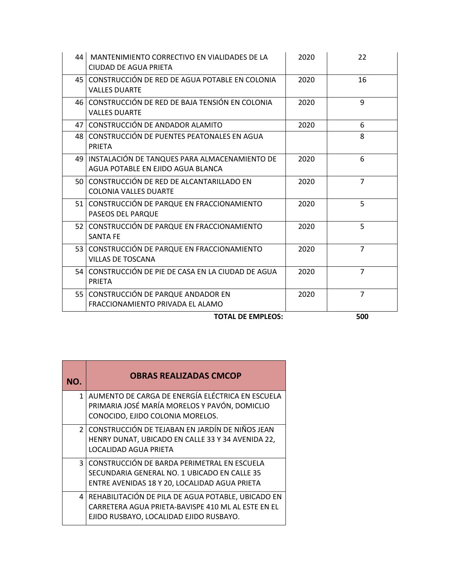| 44 | MANTENIMIENTO CORRECTIVO EN VIALIDADES DE LA<br>CIUDAD DE AGUA PRIETA              | 2020 | 22             |
|----|------------------------------------------------------------------------------------|------|----------------|
|    | 45 CONSTRUCCIÓN DE RED DE AGUA POTABLE EN COLONIA<br><b>VALLES DUARTE</b>          | 2020 | 16             |
|    | 46 CONSTRUCCIÓN DE RED DE BAJA TENSIÓN EN COLONIA<br><b>VALLES DUARTE</b>          | 2020 | 9              |
|    | 47 CONSTRUCCIÓN DE ANDADOR ALAMITO                                                 | 2020 | 6              |
|    | 48 CONSTRUCCIÓN DE PUENTES PEATONALES EN AGUA<br><b>PRIETA</b>                     |      | 8              |
| 49 | INSTALACIÓN DE TANQUES PARA ALMACENAMIENTO DE<br>AGUA POTABLE EN EJIDO AGUA BLANCA | 2020 | 6              |
|    | 50 CONSTRUCCIÓN DE RED DE ALCANTARILLADO EN<br>COLONIA VALLES DUARTE               | 2020 | $\overline{7}$ |
|    | 51 CONSTRUCCIÓN DE PARQUE EN FRACCIONAMIENTO<br>PASEOS DEL PARQUE                  | 2020 | 5.             |
|    | 52 CONSTRUCCIÓN DE PARQUE EN FRACCIONAMIENTO<br><b>SANTA FE</b>                    | 2020 | 5              |
|    | 53 CONSTRUCCIÓN DE PARQUE EN FRACCIONAMIENTO<br><b>VILLAS DE TOSCANA</b>           | 2020 | $\overline{7}$ |
|    | 54 CONSTRUCCIÓN DE PIE DE CASA EN LA CIUDAD DE AGUA<br><b>PRIETA</b>               | 2020 | $\overline{7}$ |
| 55 | CONSTRUCCIÓN DE PARQUE ANDADOR EN<br>FRACCIONAMIENTO PRIVADA EL ALAMO              | 2020 | $\overline{7}$ |

**TOTAL DE EMPLEOS: 500**

| NO.            | <b>OBRAS REALIZADAS CMCOP</b>                                                                                                                         |
|----------------|-------------------------------------------------------------------------------------------------------------------------------------------------------|
| 1 <sup>1</sup> | AUMENTO DE CARGA DE ENERGÍA ELÉCTRICA EN ESCUELA<br>PRIMARIA JOSÉ MARÍA MORELOS Y PAVÓN, DOMICLIO<br>CONOCIDO, EJIDO COLONIA MORELOS.                 |
|                | 2   CONSTRUCCIÓN DE TEJABAN EN JARDÍN DE NIÑOS JEAN<br>HENRY DUNAT, UBICADO EN CALLE 33 Y 34 AVENIDA 22,<br><b>LOCALIDAD AGUA PRIETA</b>              |
| $\overline{3}$ | CONSTRUCCIÓN DE BARDA PERIMETRAL EN ESCUELA<br>SECUNDARIA GENERAL NO. 1 UBICADO EN CALLE 35<br>ENTRE AVENIDAS 18 Y 20, LOCALIDAD AGUA PRIETA          |
|                | 4 REHABILITACIÓN DE PILA DE AGUA POTABLE, UBICADO EN<br>CARRETERA AGUA PRIETA-BAVISPE 410 ML AL ESTE EN EL<br>EJIDO RUSBAYO, LOCALIDAD EJIDO RUSBAYO. |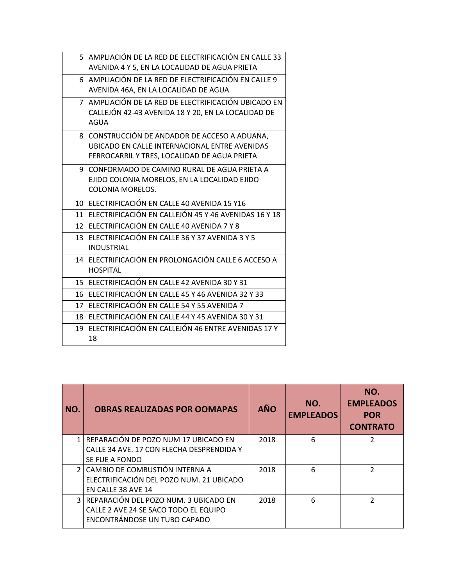|                 | 5 AMPLIACIÓN DE LA RED DE ELECTRIFICACIÓN EN CALLE 33<br>AVENIDA 4 Y 5, EN LA LOCALIDAD DE AGUA PRIETA                                       |
|-----------------|----------------------------------------------------------------------------------------------------------------------------------------------|
|                 | 6   AMPLIACIÓN DE LA RED DE ELECTRIFICACIÓN EN CALLE 9<br>AVENIDA 46A, EN LA LOCALIDAD DE AGUA                                               |
| $\overline{7}$  | AMPLIACIÓN DE LA RED DE ELECTRIFICACIÓN UBICADO EN<br>CALLEJÓN 42-43 AVENIDA 18 Y 20, EN LA LOCALIDAD DE<br>AGUA                             |
| 8               | CONSTRUCCIÓN DE ANDADOR DE ACCESO A ADUANA,<br>UBICADO EN CALLE INTERNACIONAL ENTRE AVENIDAS<br>FERROCARRIL Y TRES, LOCALIDAD DE AGUA PRIETA |
| 9               | CONFORMADO DE CAMINO RURAL DE AGUA PRIETA A<br>EJIDO COLONIA MORELOS, EN LA LOCALIDAD EJIDO<br>COLONIA MORELOS.                              |
| 10 <sub>l</sub> | ELECTRIFICACIÓN EN CALLE 40 AVENIDA 15 Y16                                                                                                   |
| 11 <sup>1</sup> | ELECTRIFICACIÓN EN CALLEJÓN 45 Y 46 AVENIDAS 16 Y 18                                                                                         |
|                 | 12 ELECTRIFICACIÓN EN CALLE 40 AVENIDA 7 Y 8                                                                                                 |
| 13              | ELECTRIFICACIÓN EN CALLE 36 Y 37 AVENIDA 3 Y 5<br><b>INDUSTRIAL</b>                                                                          |
| 14              | ELECTRIFICACIÓN EN PROLONGACIÓN CALLE 6 ACCESO A<br><b>HOSPITAL</b>                                                                          |
| 15 <sup>1</sup> | ELECTRIFICACIÓN EN CALLE 42 AVENIDA 30 Y 31                                                                                                  |
| 16              | ELECTRIFICACIÓN EN CALLE 45 Y 46 AVENIDA 32 Y 33                                                                                             |
| 17              | ELECTRIFICACIÓN EN CALLE 54 Y 55 AVENIDA 7                                                                                                   |
| 18 <sup>1</sup> | ELECTRIFICACIÓN EN CALLE 44 Y 45 AVENIDA 30 Y 31                                                                                             |
| 19              | ELECTRIFICACIÓN EN CALLEJÓN 46 ENTRE AVENIDAS 17 Y<br>18                                                                                     |

| NO. | <b>OBRAS REALIZADAS POR OOMAPAS</b>                                                                                | <b>AÑO</b> | NO.<br><b>EMPLEADOS</b> | NO.<br><b>EMPLEADOS</b><br><b>POR</b><br><b>CONTRATO</b> |
|-----|--------------------------------------------------------------------------------------------------------------------|------------|-------------------------|----------------------------------------------------------|
|     | REPARACIÓN DE POZO NUM 17 UBICADO EN<br>CALLE 34 AVE, 17 CON FLECHA DESPRENDIDA Y                                  | 2018       | 6                       | 2                                                        |
|     | SE FUE A FONDO                                                                                                     |            |                         |                                                          |
|     | 2 CAMBIO DE COMBUSTIÓN INTERNA A<br>ELECTRIFICACIÓN DEL POZO NUM. 21 UBICADO<br>EN CALLE 38 AVE 14                 | 2018       | 6                       | 2                                                        |
|     | 3   REPARACIÓN DEL POZO NUM. 3 UBICADO EN<br>CALLE 2 AVE 24 SE SACO TODO EL EQUIPO<br>ENCONTRÁNDOSE UN TUBO CAPADO | 2018       | 6                       | າ                                                        |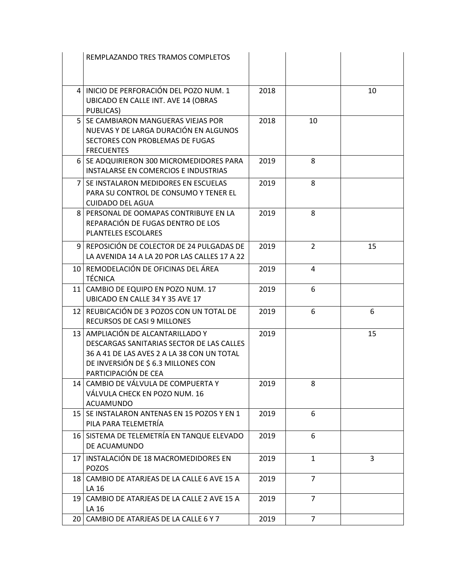|                 | REMPLAZANDO TRES TRAMOS COMPLETOS                                                                                                                                                             |      |                |    |
|-----------------|-----------------------------------------------------------------------------------------------------------------------------------------------------------------------------------------------|------|----------------|----|
|                 |                                                                                                                                                                                               |      |                |    |
|                 | 4   INICIO DE PERFORACIÓN DEL POZO NUM. 1<br>UBICADO EN CALLE INT. AVE 14 (OBRAS<br>PUBLICAS)                                                                                                 | 2018 |                | 10 |
|                 | 5   SE CAMBIARON MANGUERAS VIEJAS POR<br>NUEVAS Y DE LARGA DURACIÓN EN ALGUNOS<br>SECTORES CON PROBLEMAS DE FUGAS<br><b>FRECUENTES</b>                                                        | 2018 | 10             |    |
|                 | 6   SE ADQUIRIERON 300 MICROMEDIDORES PARA<br>INSTALARSE EN COMERCIOS E INDUSTRIAS                                                                                                            | 2019 | 8              |    |
|                 | 7   SE INSTALARON MEDIDORES EN ESCUELAS<br>PARA SU CONTROL DE CONSUMO Y TENER EL<br><b>CUIDADO DEL AGUA</b>                                                                                   | 2019 | 8              |    |
|                 | 8 PERSONAL DE OOMAPAS CONTRIBUYE EN LA<br>REPARACIÓN DE FUGAS DENTRO DE LOS<br>PLANTELES ESCOLARES                                                                                            | 2019 | 8              |    |
|                 | 9 REPOSICIÓN DE COLECTOR DE 24 PULGADAS DE<br>LA AVENIDA 14 A LA 20 POR LAS CALLES 17 A 22                                                                                                    | 2019 | $\overline{2}$ | 15 |
|                 | 10   REMODELACIÓN DE OFICINAS DEL ÁREA<br><b>TÉCNICA</b>                                                                                                                                      | 2019 | 4              |    |
|                 | 11 CAMBIO DE EQUIPO EN POZO NUM. 17<br>UBICADO EN CALLE 34 Y 35 AVE 17                                                                                                                        | 2019 | 6              |    |
|                 | 12 REUBICACIÓN DE 3 POZOS CON UN TOTAL DE<br>RECURSOS DE CASI 9 MILLONES                                                                                                                      | 2019 | 6              | 6  |
|                 | 13   AMPLIACIÓN DE ALCANTARILLADO Y<br>DESCARGAS SANITARIAS SECTOR DE LAS CALLES<br>36 A 41 DE LAS AVES 2 A LA 38 CON UN TOTAL<br>DE INVERSIÓN DE \$ 6.3 MILLONES CON<br>PARTICIPACIÓN DE CEA | 2019 |                | 15 |
|                 | 14 CAMBIO DE VÁLVULA DE COMPUERTA Y<br>VÁLVULA CHECK EN POZO NUM. 16<br><b>ACUAMUNDO</b>                                                                                                      | 2019 | 8              |    |
|                 | 15   SE INSTALARON ANTENAS EN 15 POZOS Y EN 1<br>PILA PARA TELEMETRÍA                                                                                                                         | 2019 | 6              |    |
|                 | 16 SISTEMA DE TELEMETRÍA EN TANQUE ELEVADO<br>DE ACUAMUNDO                                                                                                                                    | 2019 | 6              |    |
|                 | 17   INSTALACIÓN DE 18 MACROMEDIDORES EN<br><b>POZOS</b>                                                                                                                                      | 2019 | $\mathbf{1}$   | 3  |
| 18 I            | CAMBIO DE ATARJEAS DE LA CALLE 6 AVE 15 A<br>LA 16                                                                                                                                            | 2019 | $\overline{7}$ |    |
|                 | 19 CAMBIO DE ATARJEAS DE LA CALLE 2 AVE 15 A<br>LA 16                                                                                                                                         | 2019 | $\overline{7}$ |    |
| 20 <sub>1</sub> | CAMBIO DE ATARJEAS DE LA CALLE 6 Y 7                                                                                                                                                          | 2019 | $\overline{7}$ |    |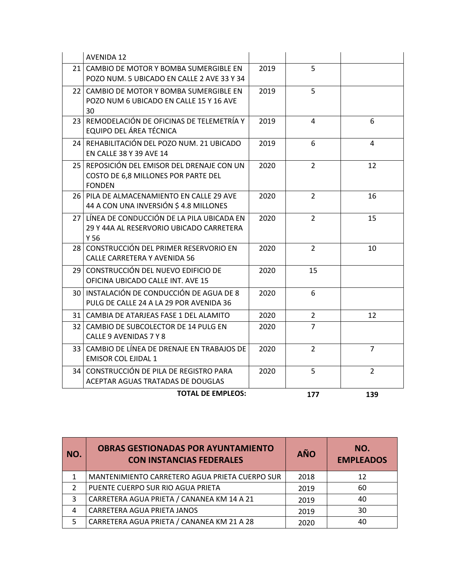|                 | <b>AVENIDA 12</b>                                                                                           |      |                |                |
|-----------------|-------------------------------------------------------------------------------------------------------------|------|----------------|----------------|
| 21 <sub>1</sub> | CAMBIO DE MOTOR Y BOMBA SUMERGIBLE EN<br>POZO NUM. 5 UBICADO EN CALLE 2 AVE 33 Y 34                         | 2019 | 5              |                |
|                 | 22 CAMBIO DE MOTOR Y BOMBA SUMERGIBLE EN<br>POZO NUM 6 UBICADO EN CALLE 15 Y 16 AVE<br>30                   | 2019 | 5              |                |
| 23 <sub>1</sub> | REMODELACIÓN DE OFICINAS DE TELEMETRÍA Y<br>EQUIPO DEL ÁREA TÉCNICA                                         | 2019 | 4              | 6              |
| 24 I            | REHABILITACIÓN DEL POZO NUM. 21 UBICADO<br>EN CALLE 38 Y 39 AVE 14                                          | 2019 | 6              | 4              |
|                 | 25 REPOSICIÓN DEL EMISOR DEL DRENAJE CON UN<br>COSTO DE 6,8 MILLONES POR PARTE DEL<br><b>FONDEN</b>         | 2020 | $\overline{2}$ | 12             |
|                 | 26 PILA DE ALMACENAMIENTO EN CALLE 29 AVE<br>44 A CON UNA INVERSIÓN \$4.8 MILLONES                          | 2020 | $\overline{2}$ | 16             |
|                 | 27 LINEA DE CONDUCCIÓN DE LA PILA UBICADA EN<br>29 Y 44A AL RESERVORIO UBICADO CARRETERA<br>Y <sub>56</sub> | 2020 | $\overline{2}$ | 15             |
|                 | 28 CONSTRUCCIÓN DEL PRIMER RESERVORIO EN<br>CALLE CARRETERA Y AVENIDA 56                                    | 2020 | $\overline{2}$ | 10             |
|                 | 29 CONSTRUCCIÓN DEL NUEVO EDIFICIO DE<br>OFICINA UBICADO CALLE INT. AVE 15                                  | 2020 | 15             |                |
|                 | 30 I INSTALACIÓN DE CONDUCCIÓN DE AGUA DE 8<br>PULG DE CALLE 24 A LA 29 POR AVENIDA 36                      | 2020 | 6              |                |
|                 | 31   CAMBIA DE ATARJEAS FASE 1 DEL ALAMITO                                                                  | 2020 | $\overline{2}$ | 12             |
| 32 I            | CAMBIO DE SUBCOLECTOR DE 14 PULG EN<br>CALLE 9 AVENIDAS 7 Y 8                                               | 2020 | $\overline{7}$ |                |
| 33 I            | CAMBIO DE LÍNEA DE DRENAJE EN TRABAJOS DE<br><b>EMISOR COL EJIDAL 1</b>                                     | 2020 | $\overline{2}$ | $\overline{7}$ |
| 34 I            | CONSTRUCCIÓN DE PILA DE REGISTRO PARA<br>ACEPTAR AGUAS TRATADAS DE DOUGLAS                                  | 2020 | 5              | $\overline{2}$ |
|                 | <b>TOTAL DE EMPLEOS:</b>                                                                                    |      | 177            | 139            |

| NO. | <b>OBRAS GESTIONADAS POR AYUNTAMIENTO</b><br><b>CON INSTANCIAS FEDERALES</b> | <b>AÑO</b> | NO.<br><b>EMPLEADOS</b> |
|-----|------------------------------------------------------------------------------|------------|-------------------------|
|     | MANTENIMIENTO CARRETERO AGUA PRIETA CUERPO SUR                               | 2018       | 12                      |
|     | PUENTE CUERPO SUR RIO AGUA PRIETA                                            | 2019       | 60                      |
| 3   | CARRETERA AGUA PRIETA / CANANEA KM 14 A 21                                   | 2019       | 40                      |
| 4   | CARRETERA AGUA PRIETA JANOS                                                  | 2019       | 30                      |
| 5   | CARRETERA AGUA PRIETA / CANANEA KM 21 A 28                                   | 2020       | 40                      |